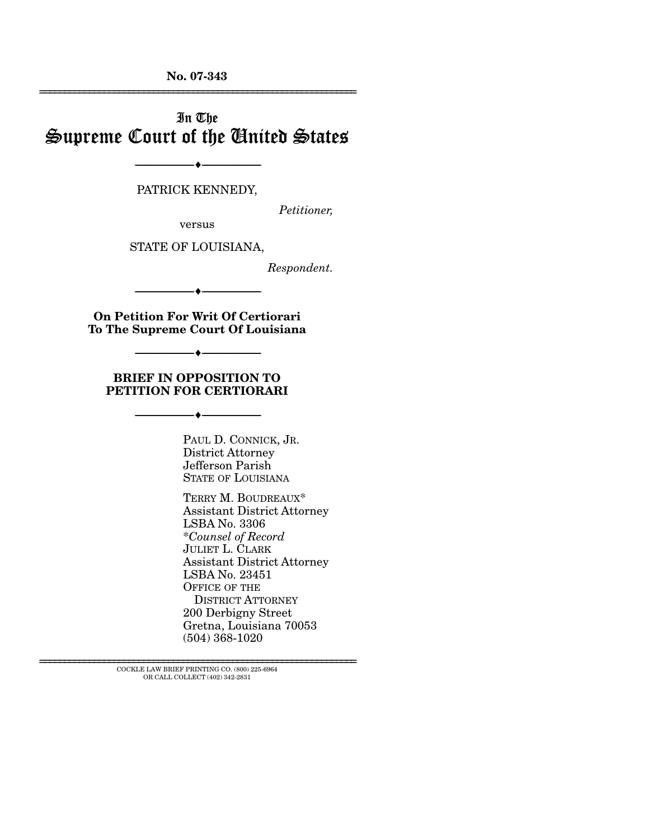**No. 07-343**  ================================================================

## In The Supreme Court of the United States

#### PATRICK KENNEDY,

--------------------------------- ♦ ---------------------------------

*Petitioner,* 

versus

STATE OF LOUISIANA,

*Respondent.* 

**On Petition For Writ Of Certiorari To The Supreme Court Of Louisiana** 

--------------------------------- ♦ ---------------------------------

--------------------------------- ♦ ---------------------------------

**BRIEF IN OPPOSITION TO PETITION FOR CERTIORARI** 

--------------------------------- ♦ ---------------------------------

PAUL D. CONNICK, JR. District Attorney Jefferson Parish STATE OF LOUISIANA

TERRY M. BOUDREAUX\* Assistant District Attorney LSBA No. 3306 \**Counsel of Record* JULIET L. CLARK Assistant District Attorney LSBA No. 23451 OFFICE OF THE DISTRICT ATTORNEY 200 Derbigny Street Gretna, Louisiana 70053 (504) 368-1020

 ${\rm COCKLE}$  LAW BRIEF PRINTING CO. (800) 225-6964 OR CALL COLLECT (402) 342-2831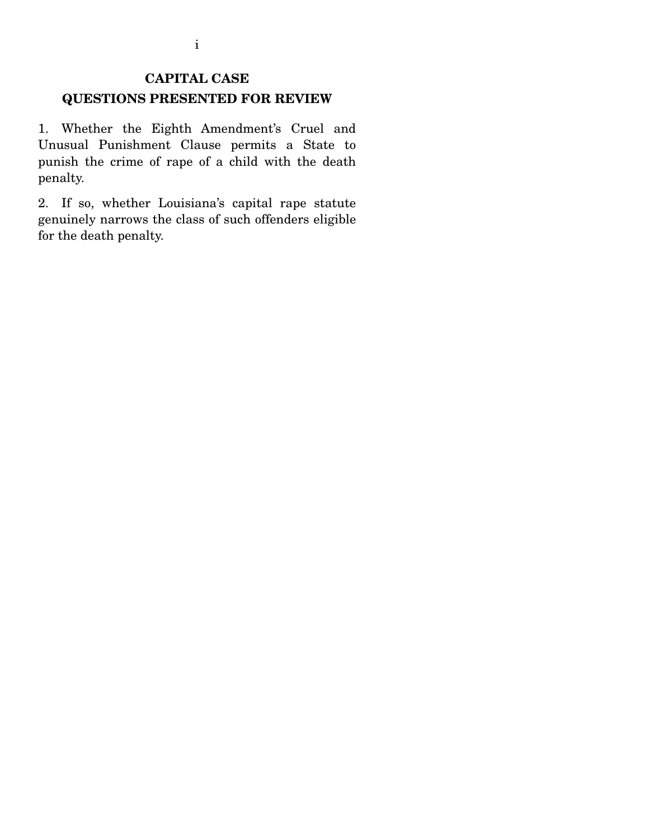## **CAPITAL CASE QUESTIONS PRESENTED FOR REVIEW**

1. Whether the Eighth Amendment's Cruel and Unusual Punishment Clause permits a State to punish the crime of rape of a child with the death penalty.

2. If so, whether Louisiana's capital rape statute genuinely narrows the class of such offenders eligible for the death penalty.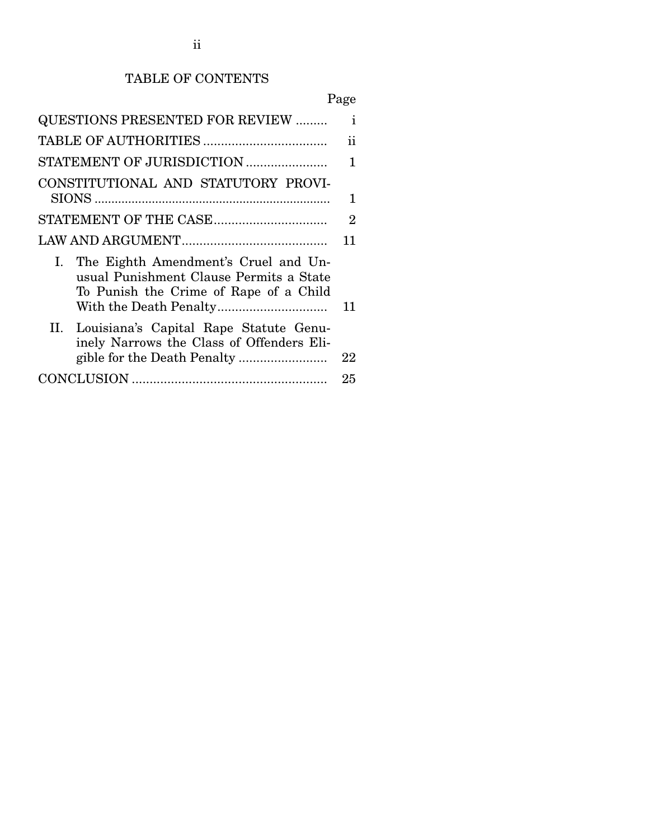# TABLE OF CONTENTS

# Page

| <b>QUESTIONS PRESENTED FOR REVIEW </b>                                                                                          | $\mathbf{i}$   |
|---------------------------------------------------------------------------------------------------------------------------------|----------------|
|                                                                                                                                 | ii             |
| STATEMENT OF JURISDICTION                                                                                                       | 1              |
| CONSTITUTIONAL AND STATUTORY PROVI-                                                                                             | 1              |
|                                                                                                                                 | $\overline{2}$ |
|                                                                                                                                 | 11             |
| The Eighth Amendment's Cruel and Un-<br>I.<br>usual Punishment Clause Permits a State<br>To Punish the Crime of Rape of a Child | 11             |
| II. Louisiana's Capital Rape Statute Genu-<br>inely Narrows the Class of Offenders Eli-                                         | 22             |
|                                                                                                                                 | 25             |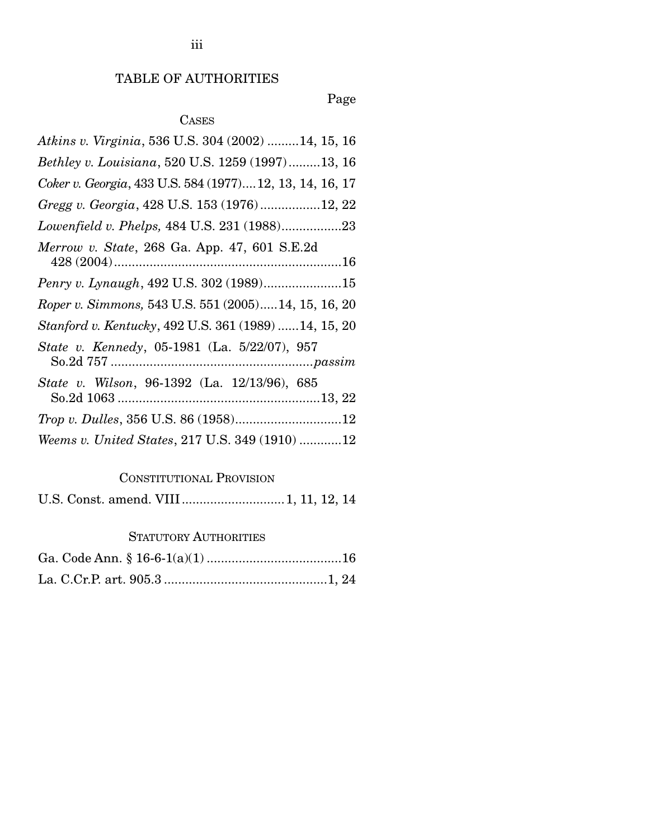## TABLE OF AUTHORITIES

## Page

## CASES

| Atkins v. Virginia, 536 U.S. 304 (2002) 14, 15, 16       |
|----------------------------------------------------------|
| Bethley v. Louisiana, 520 U.S. 1259 (1997)13, 16         |
| Coker v. Georgia, 433 U.S. 584 (1977) 12, 13, 14, 16, 17 |
| Gregg v. Georgia, 428 U.S. 153 (1976)12, 22              |
| Lowenfield v. Phelps, 484 U.S. 231 (1988)23              |
| Merrow v. State, 268 Ga. App. 47, 601 S.E.2d             |
| Penry v. Lynaugh, 492 U.S. 302 (1989)15                  |
| Roper v. Simmons, 543 U.S. 551 (2005)14, 15, 16, 20      |
| Stanford v. Kentucky, 492 U.S. 361 (1989) 14, 15, 20     |
| State v. Kennedy, 05-1981 (La. 5/22/07), 957             |
| State v. Wilson, 96-1392 (La. 12/13/96), 685             |
|                                                          |
| Weems v. United States, 217 U.S. 349 (1910) 12           |

### CONSTITUTIONAL PROVISION

|--|--|--|--|--|--|

### STATUTORY AUTHORITIES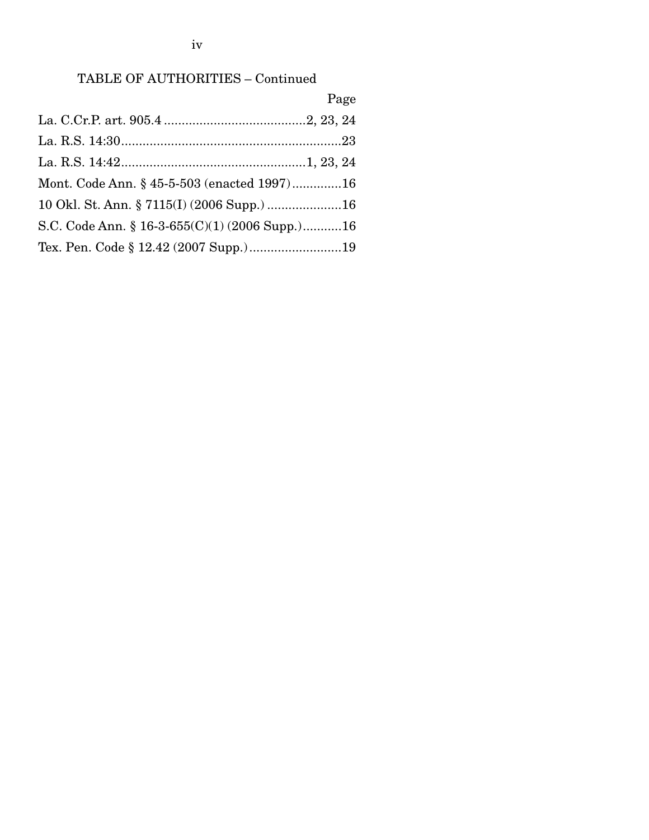iv

## TABLE OF AUTHORITIES – Continued

|                                                | Page |
|------------------------------------------------|------|
|                                                |      |
|                                                |      |
|                                                |      |
| Mont. Code Ann. § 45-5-503 (enacted 1997)16    |      |
|                                                |      |
| S.C. Code Ann. § 16-3-655(C)(1) (2006 Supp.)16 |      |
| Tex. Pen. Code § 12.42 (2007 Supp.)19          |      |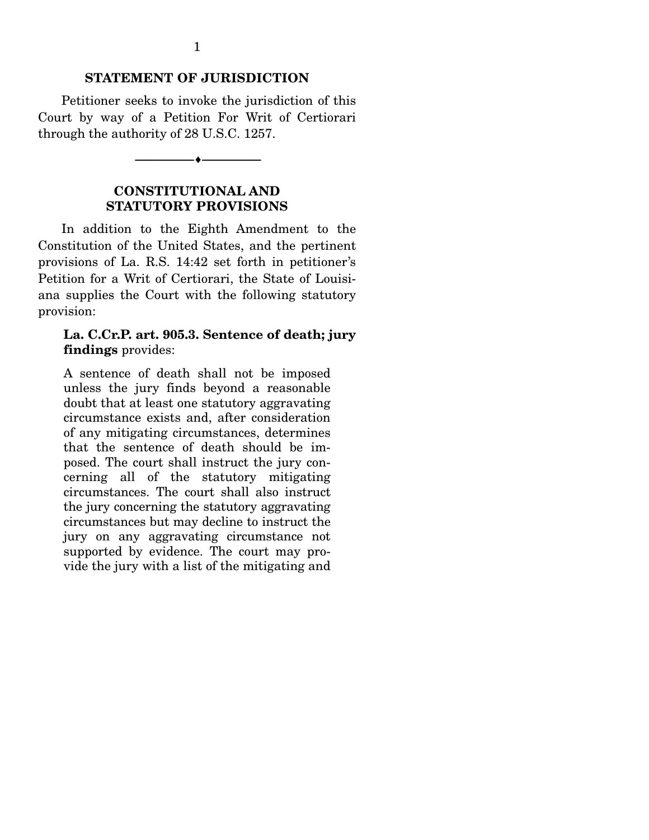#### **STATEMENT OF JURISDICTION**

Petitioner seeks to invoke the jurisdiction of this Court by way of a Petition For Writ of Certiorari through the authority of 28 U.S.C. 1257.

--------------------------------- ♦ ---------------------------------

#### **CONSTITUTIONAL AND STATUTORY PROVISIONS**

In addition to the Eighth Amendment to the Constitution of the United States, and the pertinent provisions of La. R.S. 14:42 set forth in petitioner's Petition for a Writ of Certiorari, the State of Louisiana supplies the Court with the following statutory provision:

#### **La. C.Cr.P. art. 905.3. Sentence of death; jury findings** provides:

A sentence of death shall not be imposed unless the jury finds beyond a reasonable doubt that at least one statutory aggravating circumstance exists and, after consideration of any mitigating circumstances, determines that the sentence of death should be imposed. The court shall instruct the jury concerning all of the statutory mitigating circumstances. The court shall also instruct the jury concerning the statutory aggravating circumstances but may decline to instruct the jury on any aggravating circumstance not supported by evidence. The court may provide the jury with a list of the mitigating and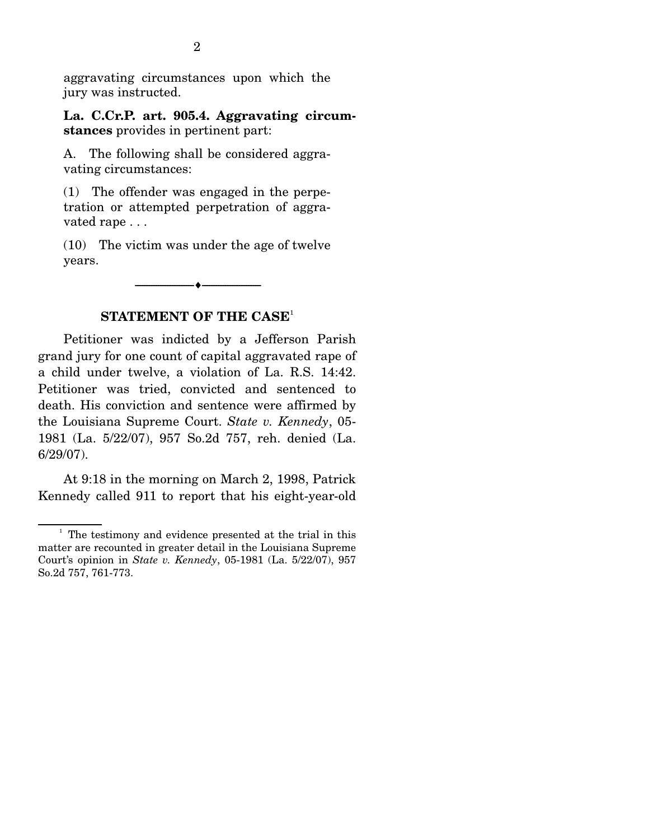aggravating circumstances upon which the jury was instructed.

**La. C.Cr.P. art. 905.4. Aggravating circumstances** provides in pertinent part:

A. The following shall be considered aggravating circumstances:

(1) The offender was engaged in the perpetration or attempted perpetration of aggravated rape . . .

(10) The victim was under the age of twelve years.

 $\overbrace{\hspace{2.5cm}}$   $\overbrace{\hspace{2.5cm}}$ 

### **STATEMENT OF THE CASE**<sup>1</sup>

 Petitioner was indicted by a Jefferson Parish grand jury for one count of capital aggravated rape of a child under twelve, a violation of La. R.S. 14:42. Petitioner was tried, convicted and sentenced to death. His conviction and sentence were affirmed by the Louisiana Supreme Court. *State v. Kennedy*, 05- 1981 (La. 5/22/07), 957 So.2d 757, reh. denied (La. 6/29/07).

 At 9:18 in the morning on March 2, 1998, Patrick Kennedy called 911 to report that his eight-year-old

<sup>&</sup>lt;sup>1</sup> The testimony and evidence presented at the trial in this matter are recounted in greater detail in the Louisiana Supreme Court's opinion in *State v. Kennedy*, 05-1981 (La. 5/22/07), 957 So.2d 757, 761-773.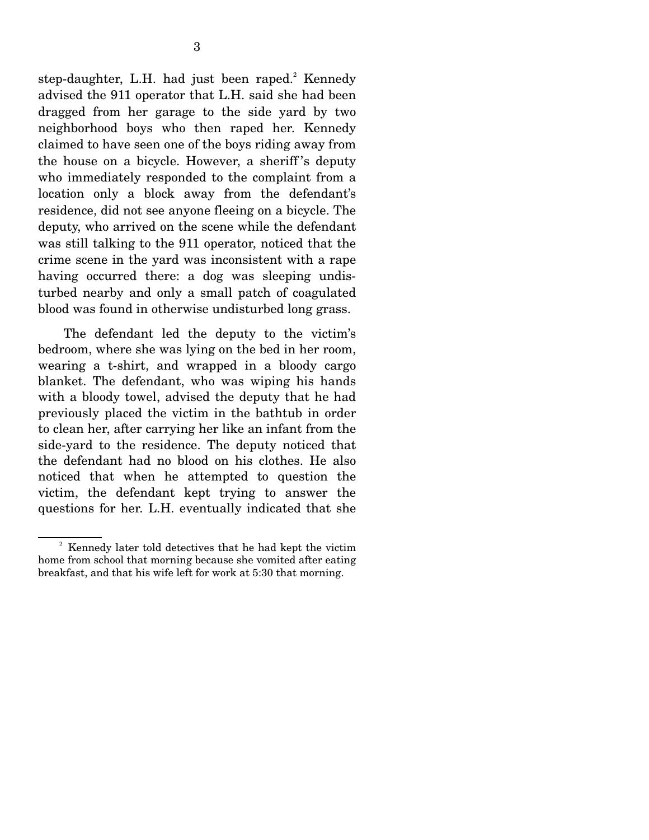step-daughter, L.H. had just been raped.<sup>2</sup> Kennedy advised the 911 operator that L.H. said she had been dragged from her garage to the side yard by two neighborhood boys who then raped her. Kennedy claimed to have seen one of the boys riding away from the house on a bicycle. However, a sheriff 's deputy who immediately responded to the complaint from a location only a block away from the defendant's residence, did not see anyone fleeing on a bicycle. The deputy, who arrived on the scene while the defendant was still talking to the 911 operator, noticed that the crime scene in the yard was inconsistent with a rape having occurred there: a dog was sleeping undisturbed nearby and only a small patch of coagulated blood was found in otherwise undisturbed long grass.

 The defendant led the deputy to the victim's bedroom, where she was lying on the bed in her room, wearing a t-shirt, and wrapped in a bloody cargo blanket. The defendant, who was wiping his hands with a bloody towel, advised the deputy that he had previously placed the victim in the bathtub in order to clean her, after carrying her like an infant from the side-yard to the residence. The deputy noticed that the defendant had no blood on his clothes. He also noticed that when he attempted to question the victim, the defendant kept trying to answer the questions for her. L.H. eventually indicated that she

<sup>&</sup>lt;sup>2</sup> Kennedy later told detectives that he had kept the victim home from school that morning because she vomited after eating breakfast, and that his wife left for work at 5:30 that morning.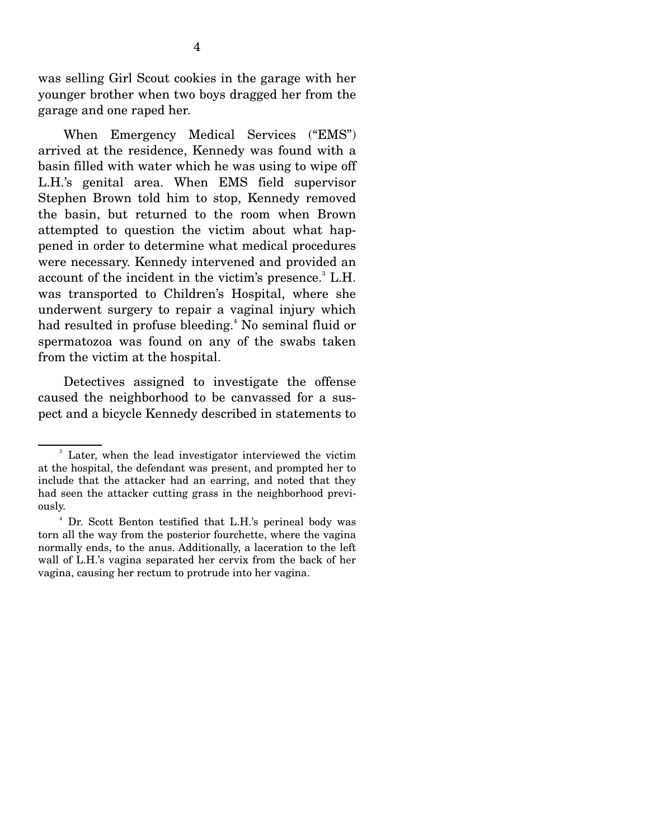was selling Girl Scout cookies in the garage with her younger brother when two boys dragged her from the garage and one raped her.

 When Emergency Medical Services ("EMS") arrived at the residence, Kennedy was found with a basin filled with water which he was using to wipe off L.H.'s genital area. When EMS field supervisor Stephen Brown told him to stop, Kennedy removed the basin, but returned to the room when Brown attempted to question the victim about what happened in order to determine what medical procedures were necessary. Kennedy intervened and provided an account of the incident in the victim's presence.<sup>3</sup> L.H. was transported to Children's Hospital, where she underwent surgery to repair a vaginal injury which had resulted in profuse bleeding.<sup>4</sup> No seminal fluid or spermatozoa was found on any of the swabs taken from the victim at the hospital.

 Detectives assigned to investigate the offense caused the neighborhood to be canvassed for a suspect and a bicycle Kennedy described in statements to

<sup>3</sup> Later, when the lead investigator interviewed the victim at the hospital, the defendant was present, and prompted her to include that the attacker had an earring, and noted that they had seen the attacker cutting grass in the neighborhood previously.

<sup>4</sup> Dr. Scott Benton testified that L.H.'s perineal body was torn all the way from the posterior fourchette, where the vagina normally ends, to the anus. Additionally, a laceration to the left wall of L.H.'s vagina separated her cervix from the back of her vagina, causing her rectum to protrude into her vagina.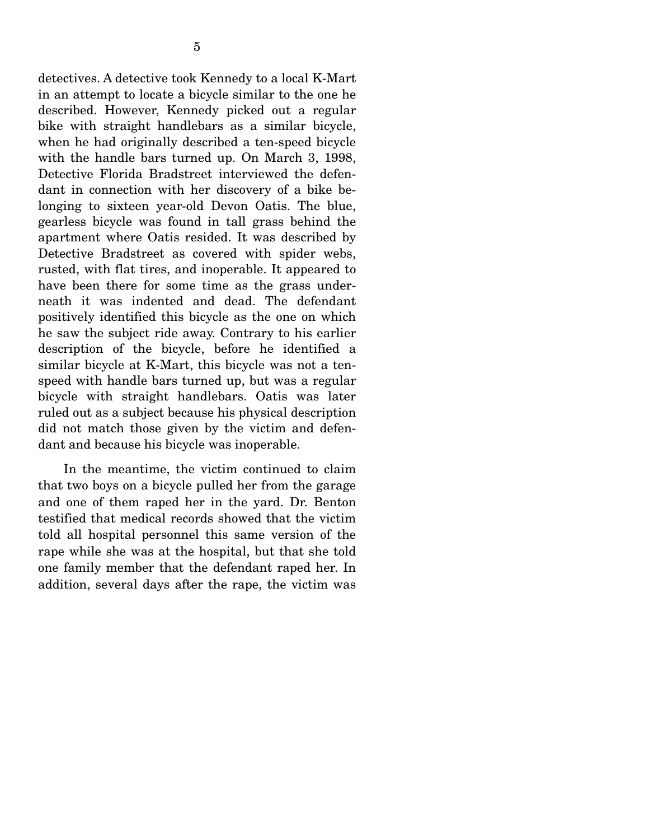detectives. A detective took Kennedy to a local K-Mart in an attempt to locate a bicycle similar to the one he described. However, Kennedy picked out a regular bike with straight handlebars as a similar bicycle, when he had originally described a ten-speed bicycle with the handle bars turned up. On March 3, 1998, Detective Florida Bradstreet interviewed the defendant in connection with her discovery of a bike belonging to sixteen year-old Devon Oatis. The blue, gearless bicycle was found in tall grass behind the apartment where Oatis resided. It was described by Detective Bradstreet as covered with spider webs, rusted, with flat tires, and inoperable. It appeared to have been there for some time as the grass underneath it was indented and dead. The defendant positively identified this bicycle as the one on which he saw the subject ride away. Contrary to his earlier description of the bicycle, before he identified a similar bicycle at K-Mart, this bicycle was not a tenspeed with handle bars turned up, but was a regular bicycle with straight handlebars. Oatis was later ruled out as a subject because his physical description did not match those given by the victim and defendant and because his bicycle was inoperable.

 In the meantime, the victim continued to claim that two boys on a bicycle pulled her from the garage and one of them raped her in the yard. Dr. Benton testified that medical records showed that the victim told all hospital personnel this same version of the rape while she was at the hospital, but that she told one family member that the defendant raped her. In addition, several days after the rape, the victim was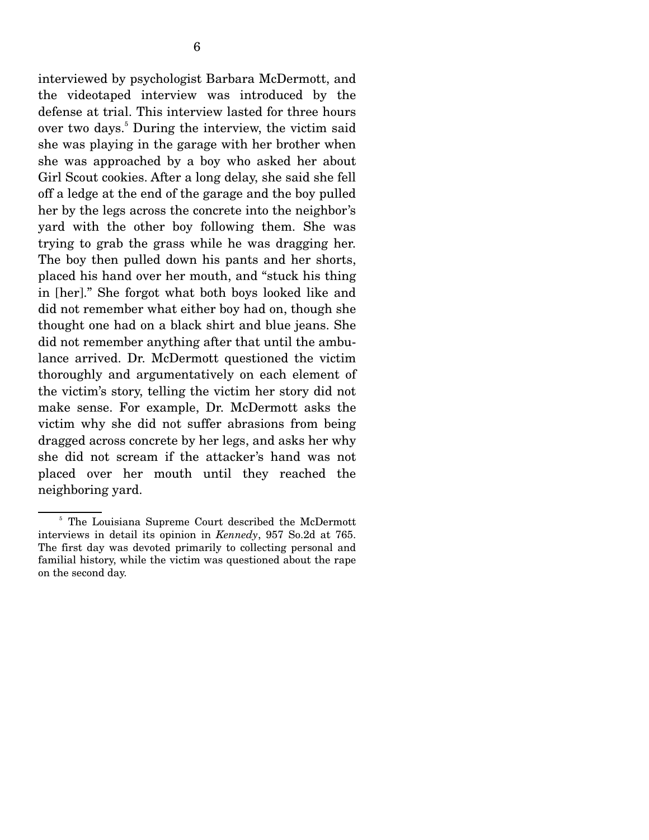interviewed by psychologist Barbara McDermott, and the videotaped interview was introduced by the defense at trial. This interview lasted for three hours over two days.<sup>5</sup> During the interview, the victim said she was playing in the garage with her brother when she was approached by a boy who asked her about Girl Scout cookies. After a long delay, she said she fell off a ledge at the end of the garage and the boy pulled her by the legs across the concrete into the neighbor's yard with the other boy following them. She was trying to grab the grass while he was dragging her. The boy then pulled down his pants and her shorts, placed his hand over her mouth, and "stuck his thing in [her]." She forgot what both boys looked like and did not remember what either boy had on, though she thought one had on a black shirt and blue jeans. She did not remember anything after that until the ambulance arrived. Dr. McDermott questioned the victim thoroughly and argumentatively on each element of the victim's story, telling the victim her story did not make sense. For example, Dr. McDermott asks the victim why she did not suffer abrasions from being dragged across concrete by her legs, and asks her why she did not scream if the attacker's hand was not placed over her mouth until they reached the neighboring yard.

<sup>&</sup>lt;sup>5</sup> The Louisiana Supreme Court described the McDermott interviews in detail its opinion in *Kennedy*, 957 So.2d at 765. The first day was devoted primarily to collecting personal and familial history, while the victim was questioned about the rape on the second day.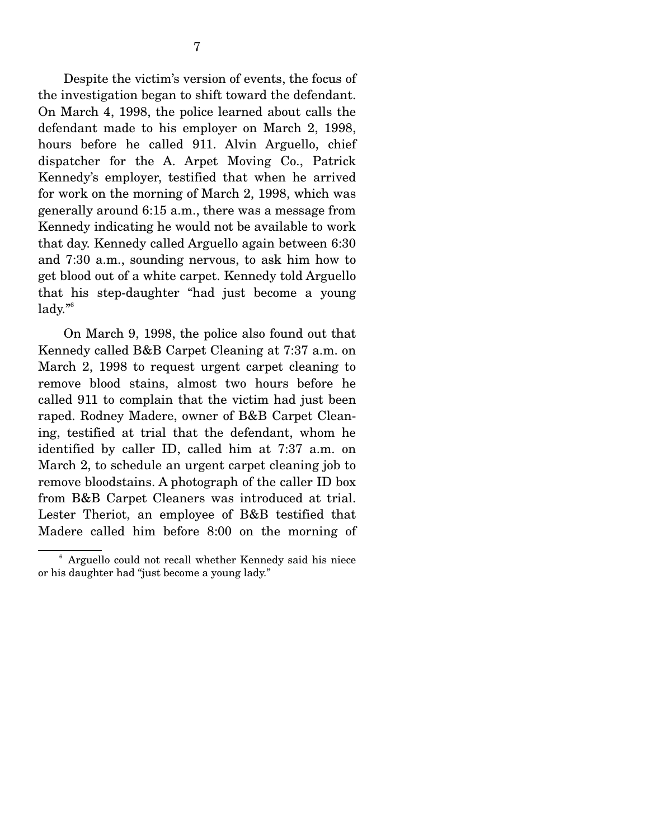Despite the victim's version of events, the focus of the investigation began to shift toward the defendant. On March 4, 1998, the police learned about calls the defendant made to his employer on March 2, 1998, hours before he called 911. Alvin Arguello, chief dispatcher for the A. Arpet Moving Co., Patrick Kennedy's employer, testified that when he arrived for work on the morning of March 2, 1998, which was generally around 6:15 a.m., there was a message from Kennedy indicating he would not be available to work that day. Kennedy called Arguello again between 6:30 and 7:30 a.m., sounding nervous, to ask him how to get blood out of a white carpet. Kennedy told Arguello that his step-daughter "had just become a young

lady."6

 On March 9, 1998, the police also found out that Kennedy called B&B Carpet Cleaning at 7:37 a.m. on March 2, 1998 to request urgent carpet cleaning to remove blood stains, almost two hours before he called 911 to complain that the victim had just been raped. Rodney Madere, owner of B&B Carpet Cleaning, testified at trial that the defendant, whom he identified by caller ID, called him at 7:37 a.m. on March 2, to schedule an urgent carpet cleaning job to remove bloodstains. A photograph of the caller ID box from B&B Carpet Cleaners was introduced at trial. Lester Theriot, an employee of B&B testified that Madere called him before 8:00 on the morning of

<sup>&</sup>lt;sup>6</sup> Arguello could not recall whether Kennedy said his niece or his daughter had "just become a young lady."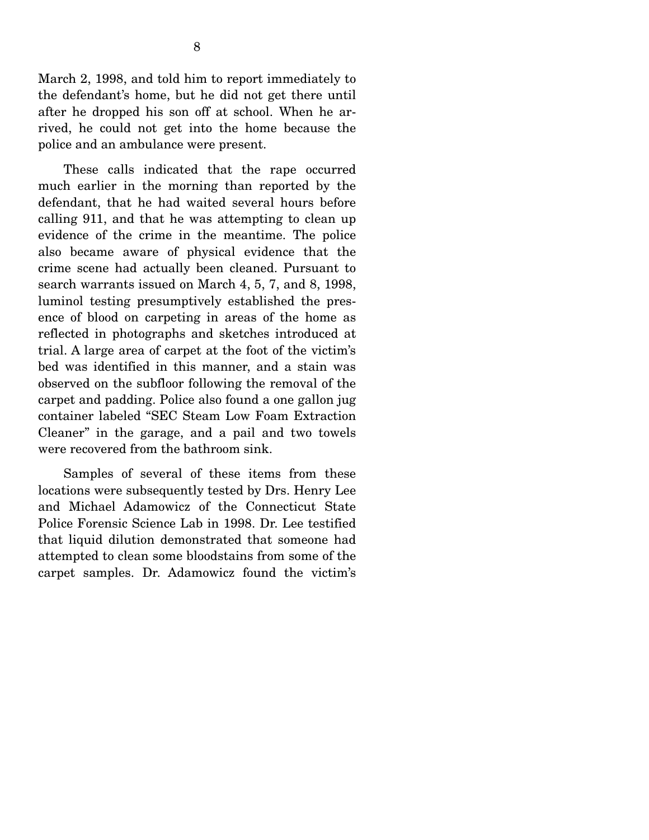March 2, 1998, and told him to report immediately to the defendant's home, but he did not get there until after he dropped his son off at school. When he arrived, he could not get into the home because the police and an ambulance were present.

 These calls indicated that the rape occurred much earlier in the morning than reported by the defendant, that he had waited several hours before calling 911, and that he was attempting to clean up evidence of the crime in the meantime. The police also became aware of physical evidence that the crime scene had actually been cleaned. Pursuant to search warrants issued on March 4, 5, 7, and 8, 1998, luminol testing presumptively established the presence of blood on carpeting in areas of the home as reflected in photographs and sketches introduced at trial. A large area of carpet at the foot of the victim's bed was identified in this manner, and a stain was observed on the subfloor following the removal of the carpet and padding. Police also found a one gallon jug container labeled "SEC Steam Low Foam Extraction Cleaner" in the garage, and a pail and two towels were recovered from the bathroom sink.

 Samples of several of these items from these locations were subsequently tested by Drs. Henry Lee and Michael Adamowicz of the Connecticut State Police Forensic Science Lab in 1998. Dr. Lee testified that liquid dilution demonstrated that someone had attempted to clean some bloodstains from some of the carpet samples. Dr. Adamowicz found the victim's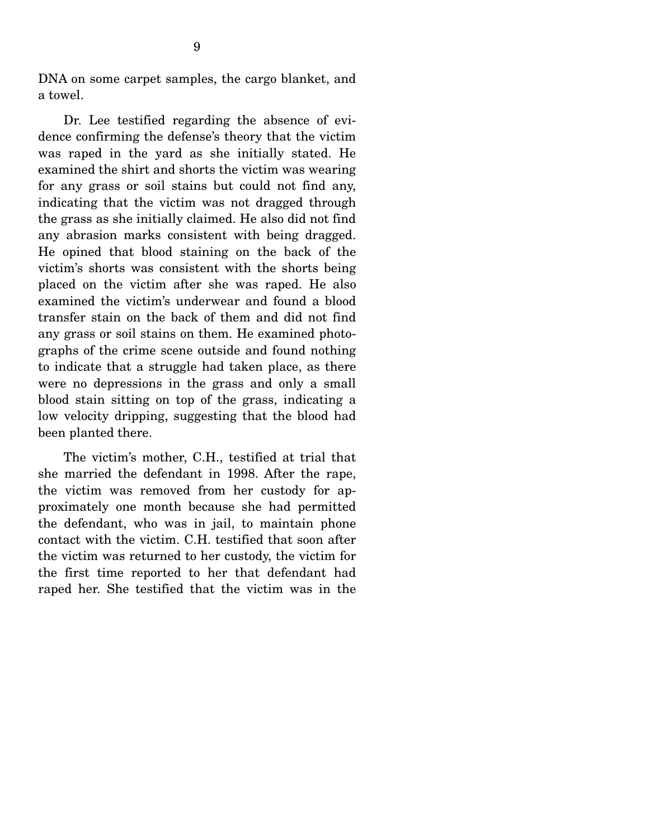DNA on some carpet samples, the cargo blanket, and a towel.

 Dr. Lee testified regarding the absence of evidence confirming the defense's theory that the victim was raped in the yard as she initially stated. He examined the shirt and shorts the victim was wearing for any grass or soil stains but could not find any, indicating that the victim was not dragged through the grass as she initially claimed. He also did not find any abrasion marks consistent with being dragged. He opined that blood staining on the back of the victim's shorts was consistent with the shorts being placed on the victim after she was raped. He also examined the victim's underwear and found a blood transfer stain on the back of them and did not find any grass or soil stains on them. He examined photographs of the crime scene outside and found nothing to indicate that a struggle had taken place, as there were no depressions in the grass and only a small blood stain sitting on top of the grass, indicating a low velocity dripping, suggesting that the blood had been planted there.

 The victim's mother, C.H., testified at trial that she married the defendant in 1998. After the rape, the victim was removed from her custody for approximately one month because she had permitted the defendant, who was in jail, to maintain phone contact with the victim. C.H. testified that soon after the victim was returned to her custody, the victim for the first time reported to her that defendant had raped her. She testified that the victim was in the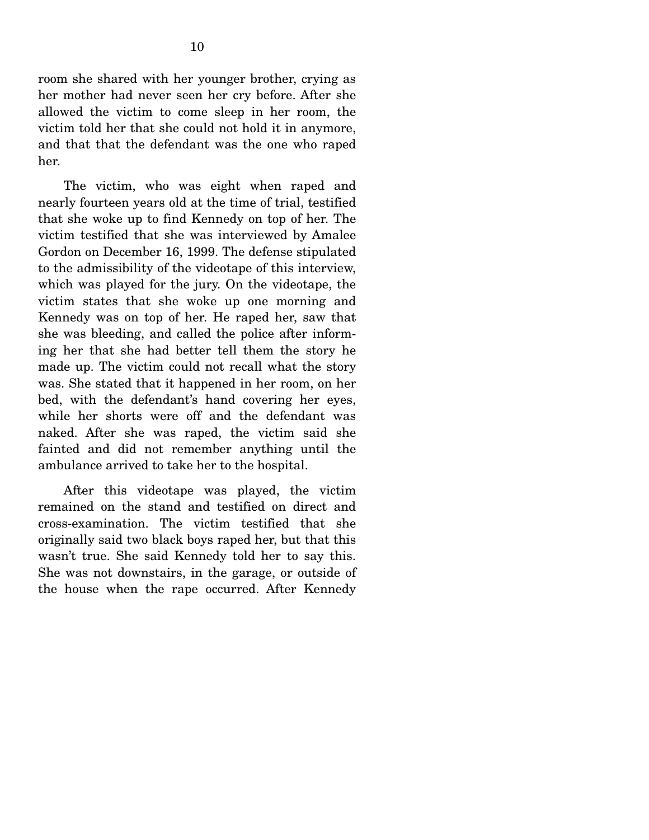room she shared with her younger brother, crying as her mother had never seen her cry before. After she allowed the victim to come sleep in her room, the victim told her that she could not hold it in anymore, and that that the defendant was the one who raped her.

 The victim, who was eight when raped and nearly fourteen years old at the time of trial, testified that she woke up to find Kennedy on top of her. The victim testified that she was interviewed by Amalee Gordon on December 16, 1999. The defense stipulated to the admissibility of the videotape of this interview, which was played for the jury. On the videotape, the victim states that she woke up one morning and Kennedy was on top of her. He raped her, saw that she was bleeding, and called the police after informing her that she had better tell them the story he made up. The victim could not recall what the story was. She stated that it happened in her room, on her bed, with the defendant's hand covering her eyes, while her shorts were off and the defendant was naked. After she was raped, the victim said she fainted and did not remember anything until the ambulance arrived to take her to the hospital.

 After this videotape was played, the victim remained on the stand and testified on direct and cross-examination. The victim testified that she originally said two black boys raped her, but that this wasn't true. She said Kennedy told her to say this. She was not downstairs, in the garage, or outside of the house when the rape occurred. After Kennedy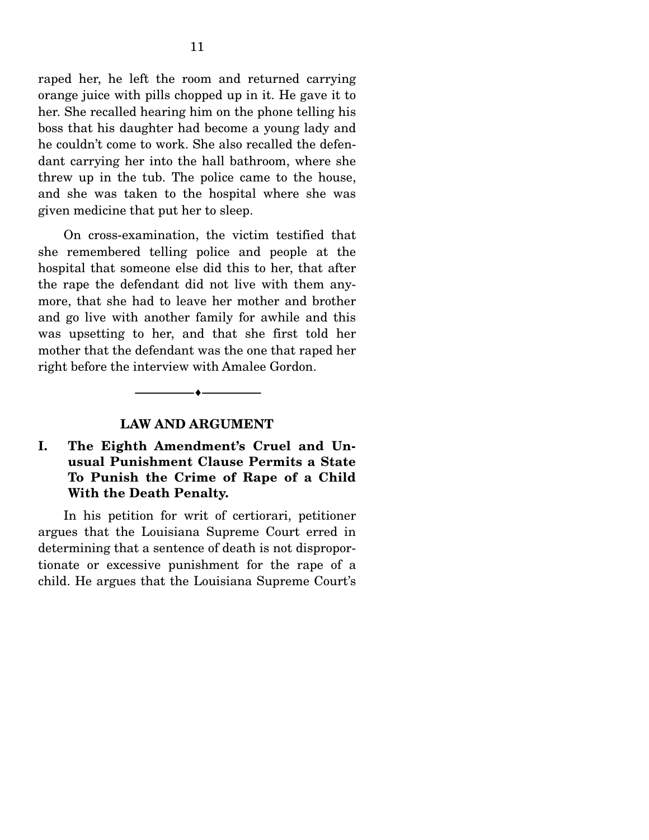raped her, he left the room and returned carrying orange juice with pills chopped up in it. He gave it to her. She recalled hearing him on the phone telling his boss that his daughter had become a young lady and he couldn't come to work. She also recalled the defendant carrying her into the hall bathroom, where she threw up in the tub. The police came to the house, and she was taken to the hospital where she was given medicine that put her to sleep.

 On cross-examination, the victim testified that she remembered telling police and people at the hospital that someone else did this to her, that after the rape the defendant did not live with them anymore, that she had to leave her mother and brother and go live with another family for awhile and this was upsetting to her, and that she first told her mother that the defendant was the one that raped her right before the interview with Amalee Gordon.

#### **LAW AND ARGUMENT**

--------------------------------- ♦ ---------------------------------

#### **I. The Eighth Amendment's Cruel and Unusual Punishment Clause Permits a State To Punish the Crime of Rape of a Child With the Death Penalty.**

 In his petition for writ of certiorari, petitioner argues that the Louisiana Supreme Court erred in determining that a sentence of death is not disproportionate or excessive punishment for the rape of a child. He argues that the Louisiana Supreme Court's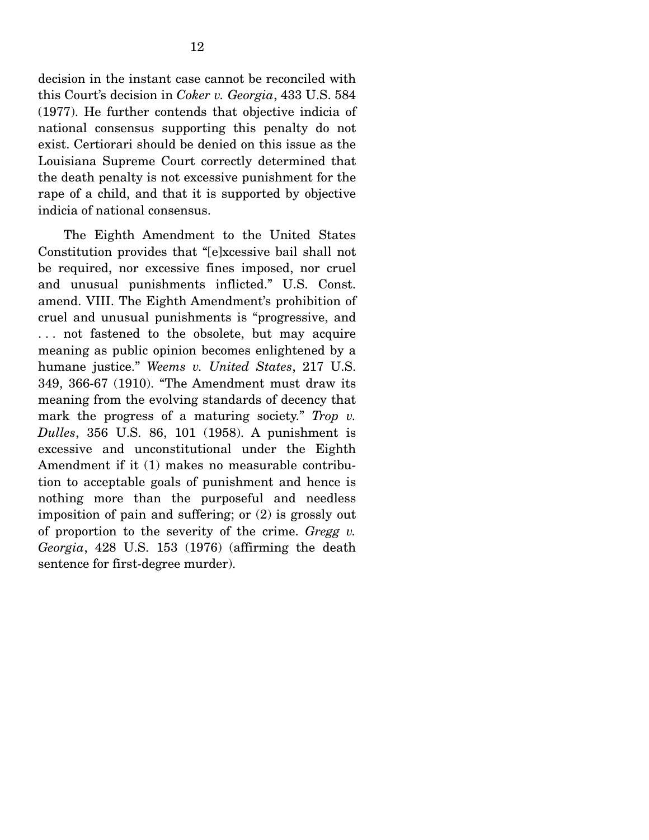decision in the instant case cannot be reconciled with this Court's decision in *Coker v. Georgia*, 433 U.S. 584 (1977). He further contends that objective indicia of national consensus supporting this penalty do not exist. Certiorari should be denied on this issue as the Louisiana Supreme Court correctly determined that the death penalty is not excessive punishment for the rape of a child, and that it is supported by objective indicia of national consensus.

 The Eighth Amendment to the United States Constitution provides that "[e]xcessive bail shall not be required, nor excessive fines imposed, nor cruel and unusual punishments inflicted." U.S. Const. amend. VIII. The Eighth Amendment's prohibition of cruel and unusual punishments is "progressive, and . . . not fastened to the obsolete, but may acquire meaning as public opinion becomes enlightened by a humane justice." *Weems v. United States*, 217 U.S. 349, 366-67 (1910). "The Amendment must draw its meaning from the evolving standards of decency that mark the progress of a maturing society." *Trop v. Dulles*, 356 U.S. 86, 101 (1958). A punishment is excessive and unconstitutional under the Eighth Amendment if it (1) makes no measurable contribution to acceptable goals of punishment and hence is nothing more than the purposeful and needless imposition of pain and suffering; or (2) is grossly out of proportion to the severity of the crime. *Gregg v. Georgia*, 428 U.S. 153 (1976) (affirming the death sentence for first-degree murder).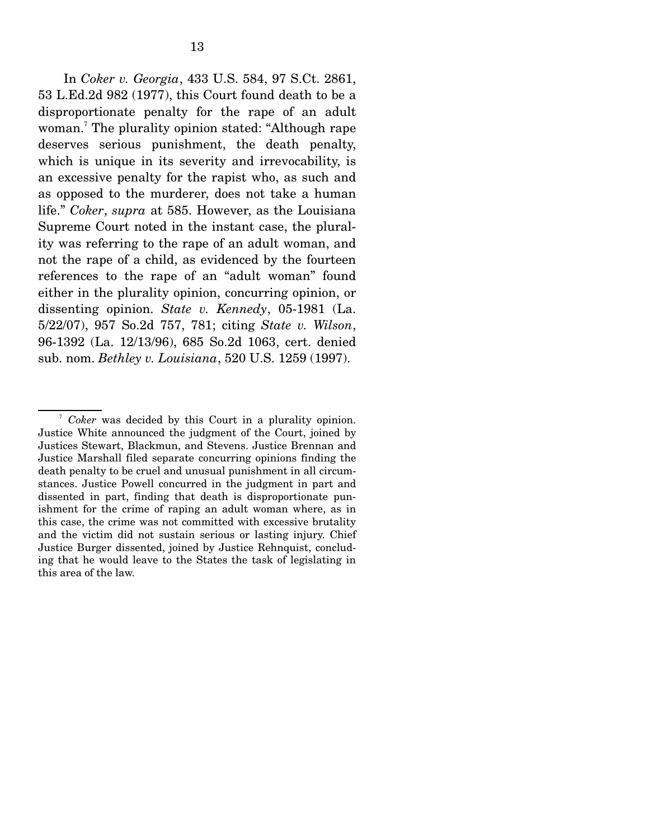In *Coker v. Georgia*, 433 U.S. 584, 97 S.Ct. 2861, 53 L.Ed.2d 982 (1977), this Court found death to be a disproportionate penalty for the rape of an adult woman.7 The plurality opinion stated: "Although rape deserves serious punishment, the death penalty, which is unique in its severity and irrevocability, is an excessive penalty for the rapist who, as such and as opposed to the murderer, does not take a human life." *Coker*, *supra* at 585. However, as the Louisiana Supreme Court noted in the instant case, the plurality was referring to the rape of an adult woman, and not the rape of a child, as evidenced by the fourteen references to the rape of an "adult woman" found either in the plurality opinion, concurring opinion, or dissenting opinion. *State v. Kennedy*, 05-1981 (La. 5/22/07), 957 So.2d 757, 781; citing *State v. Wilson*, 96-1392 (La. 12/13/96), 685 So.2d 1063, cert. denied sub. nom. *Bethley v. Louisiana*, 520 U.S. 1259 (1997).

<sup>7</sup> *Coker* was decided by this Court in a plurality opinion. Justice White announced the judgment of the Court, joined by Justices Stewart, Blackmun, and Stevens. Justice Brennan and Justice Marshall filed separate concurring opinions finding the death penalty to be cruel and unusual punishment in all circumstances. Justice Powell concurred in the judgment in part and dissented in part, finding that death is disproportionate punishment for the crime of raping an adult woman where, as in this case, the crime was not committed with excessive brutality and the victim did not sustain serious or lasting injury. Chief Justice Burger dissented, joined by Justice Rehnquist, concluding that he would leave to the States the task of legislating in this area of the law.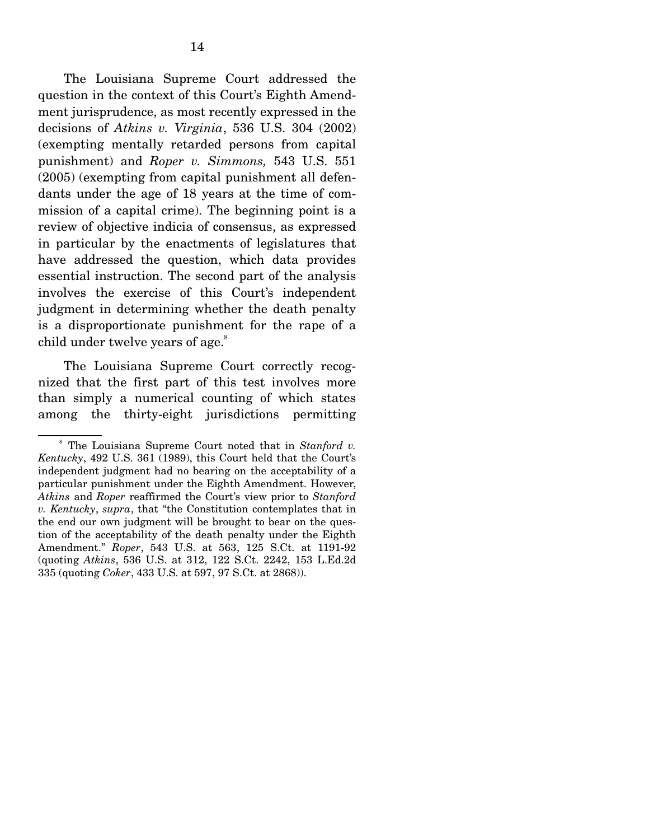The Louisiana Supreme Court addressed the question in the context of this Court's Eighth Amendment jurisprudence, as most recently expressed in the decisions of *Atkins v. Virginia*, 536 U.S. 304 (2002) (exempting mentally retarded persons from capital punishment) and *Roper v. Simmons,* 543 U.S. 551 (2005) (exempting from capital punishment all defendants under the age of 18 years at the time of commission of a capital crime). The beginning point is a review of objective indicia of consensus, as expressed in particular by the enactments of legislatures that have addressed the question, which data provides essential instruction. The second part of the analysis involves the exercise of this Court's independent judgment in determining whether the death penalty is a disproportionate punishment for the rape of a child under twelve years of age.<sup>8</sup>

 The Louisiana Supreme Court correctly recognized that the first part of this test involves more than simply a numerical counting of which states among the thirty-eight jurisdictions permitting

<sup>&</sup>lt;sup>8</sup> The Louisiana Supreme Court noted that in *Stanford v. Kentucky*, 492 U.S. 361 (1989), this Court held that the Court's independent judgment had no bearing on the acceptability of a particular punishment under the Eighth Amendment. However, *Atkins* and *Roper* reaffirmed the Court's view prior to *Stanford v. Kentucky*, *supra*, that "the Constitution contemplates that in the end our own judgment will be brought to bear on the question of the acceptability of the death penalty under the Eighth Amendment." *Roper*, 543 U.S. at 563, 125 S.Ct. at 1191-92 (quoting *Atkins*, 536 U.S. at 312, 122 S.Ct. 2242, 153 L.Ed.2d 335 (quoting *Coker*, 433 U.S. at 597, 97 S.Ct. at 2868)).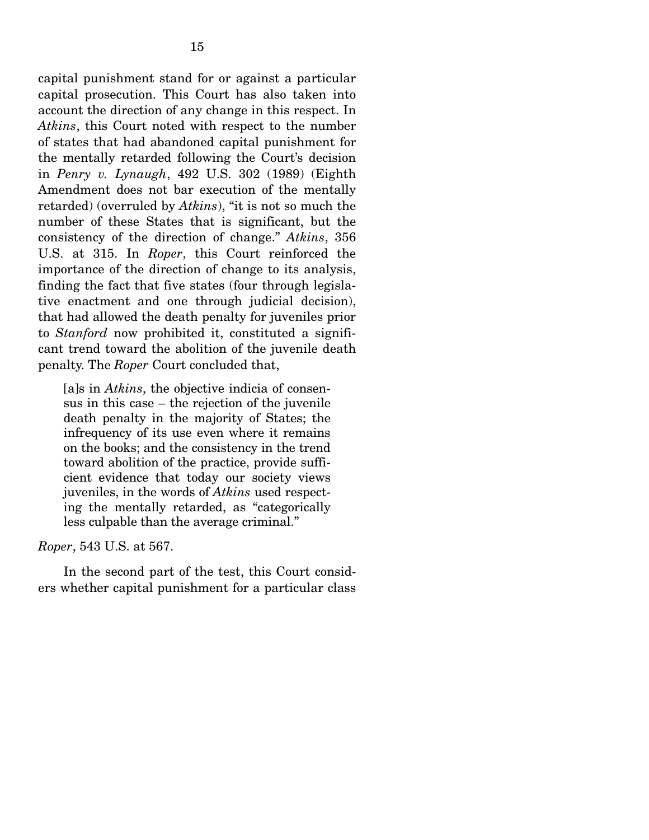capital punishment stand for or against a particular capital prosecution. This Court has also taken into account the direction of any change in this respect. In *Atkins*, this Court noted with respect to the number of states that had abandoned capital punishment for the mentally retarded following the Court's decision in *Penry v. Lynaugh*, 492 U.S. 302 (1989) (Eighth Amendment does not bar execution of the mentally retarded) (overruled by *Atkins*), "it is not so much the number of these States that is significant, but the consistency of the direction of change." *Atkins*, 356 U.S. at 315. In *Roper*, this Court reinforced the importance of the direction of change to its analysis, finding the fact that five states (four through legislative enactment and one through judicial decision), that had allowed the death penalty for juveniles prior to *Stanford* now prohibited it, constituted a significant trend toward the abolition of the juvenile death penalty. The *Roper* Court concluded that,

[a]s in *Atkins*, the objective indicia of consensus in this case – the rejection of the juvenile death penalty in the majority of States; the infrequency of its use even where it remains on the books; and the consistency in the trend toward abolition of the practice, provide sufficient evidence that today our society views juveniles, in the words of *Atkins* used respecting the mentally retarded, as "categorically less culpable than the average criminal."

*Roper*, 543 U.S. at 567.

 In the second part of the test, this Court considers whether capital punishment for a particular class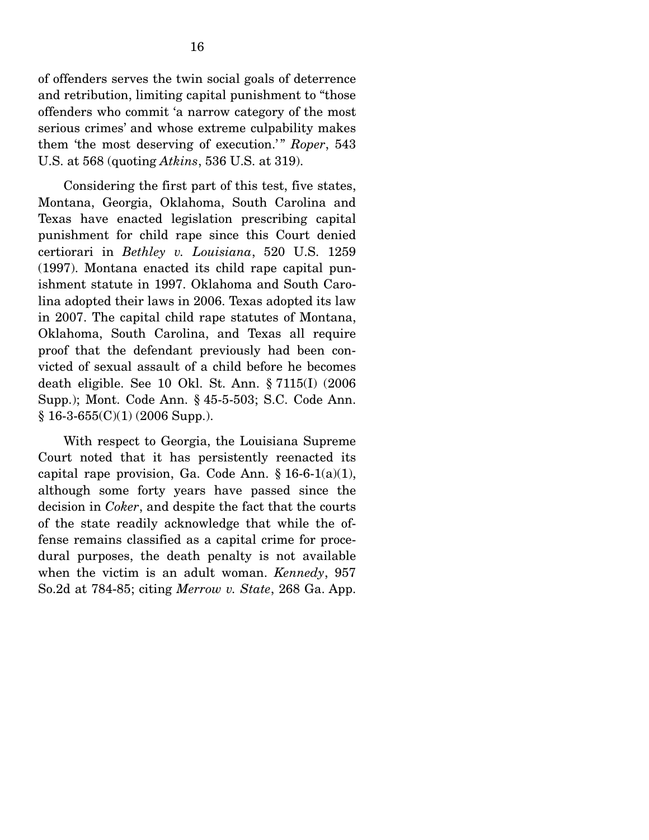of offenders serves the twin social goals of deterrence and retribution, limiting capital punishment to "those offenders who commit 'a narrow category of the most serious crimes' and whose extreme culpability makes them 'the most deserving of execution.'" *Roper*, 543 U.S. at 568 (quoting *Atkins*, 536 U.S. at 319).

 Considering the first part of this test, five states, Montana, Georgia, Oklahoma, South Carolina and Texas have enacted legislation prescribing capital punishment for child rape since this Court denied certiorari in *Bethley v. Louisiana*, 520 U.S. 1259 (1997). Montana enacted its child rape capital punishment statute in 1997. Oklahoma and South Carolina adopted their laws in 2006. Texas adopted its law in 2007. The capital child rape statutes of Montana, Oklahoma, South Carolina, and Texas all require proof that the defendant previously had been convicted of sexual assault of a child before he becomes death eligible. See 10 Okl. St. Ann. § 7115(I) (2006 Supp.); Mont. Code Ann. § 45-5-503; S.C. Code Ann.  $§ 16-3-655(C)(1) (2006 Supp.).$ 

 With respect to Georgia, the Louisiana Supreme Court noted that it has persistently reenacted its capital rape provision, Ga. Code Ann.  $\S 16-6-1(a)(1)$ , although some forty years have passed since the decision in *Coker*, and despite the fact that the courts of the state readily acknowledge that while the offense remains classified as a capital crime for procedural purposes, the death penalty is not available when the victim is an adult woman. *Kennedy*, 957 So.2d at 784-85; citing *Merrow v. State*, 268 Ga. App.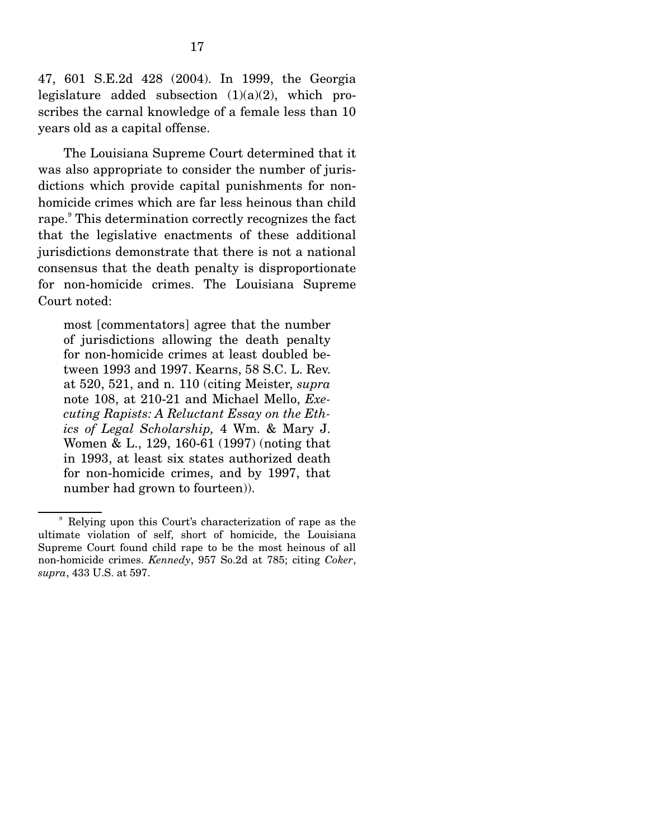47, 601 S.E.2d 428 (2004). In 1999, the Georgia legislature added subsection  $(1)(a)(2)$ , which proscribes the carnal knowledge of a female less than 10 years old as a capital offense.

 The Louisiana Supreme Court determined that it was also appropriate to consider the number of jurisdictions which provide capital punishments for nonhomicide crimes which are far less heinous than child rape.<sup>9</sup> This determination correctly recognizes the fact that the legislative enactments of these additional jurisdictions demonstrate that there is not a national consensus that the death penalty is disproportionate for non-homicide crimes. The Louisiana Supreme Court noted:

most [commentators] agree that the number of jurisdictions allowing the death penalty for non-homicide crimes at least doubled between 1993 and 1997. Kearns, 58 S.C. L. Rev. at 520, 521, and n. 110 (citing Meister, *supra* note 108, at 210-21 and Michael Mello, *Executing Rapists: A Reluctant Essay on the Ethics of Legal Scholarship,* 4 Wm. & Mary J. Women & L., 129, 160-61 (1997) (noting that in 1993, at least six states authorized death for non-homicide crimes, and by 1997, that number had grown to fourteen)).

<sup>9</sup> Relying upon this Court's characterization of rape as the ultimate violation of self, short of homicide, the Louisiana Supreme Court found child rape to be the most heinous of all non-homicide crimes. *Kennedy*, 957 So.2d at 785; citing *Coker*, *supra*, 433 U.S. at 597.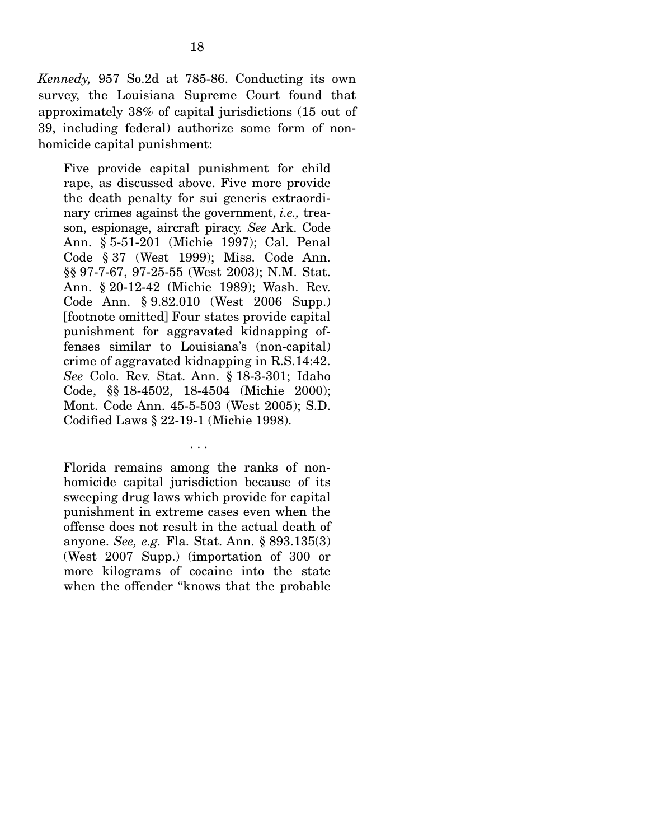*Kennedy,* 957 So.2d at 785-86. Conducting its own survey, the Louisiana Supreme Court found that approximately 38% of capital jurisdictions (15 out of 39, including federal) authorize some form of nonhomicide capital punishment:

Five provide capital punishment for child rape, as discussed above. Five more provide the death penalty for sui generis extraordinary crimes against the government, *i.e.,* treason, espionage, aircraft piracy. *See* Ark. Code Ann. § 5-51-201 (Michie 1997); Cal. Penal Code § 37 (West 1999); Miss. Code Ann. §§ 97-7-67, 97-25-55 (West 2003); N.M. Stat. Ann. § 20-12-42 (Michie 1989); Wash. Rev. Code Ann. § 9.82.010 (West 2006 Supp.) [footnote omitted] Four states provide capital punishment for aggravated kidnapping offenses similar to Louisiana's (non-capital) crime of aggravated kidnapping in R.S.14:42. *See* Colo. Rev. Stat. Ann. § 18-3-301; Idaho Code, §§ 18-4502, 18-4504 (Michie 2000); Mont. Code Ann. 45-5-503 (West 2005); S.D. Codified Laws § 22-19-1 (Michie 1998).

Florida remains among the ranks of nonhomicide capital jurisdiction because of its sweeping drug laws which provide for capital punishment in extreme cases even when the offense does not result in the actual death of anyone. *See, e.g.* Fla. Stat. Ann. § 893.135(3) (West 2007 Supp.) (importation of 300 or more kilograms of cocaine into the state when the offender "knows that the probable

. . .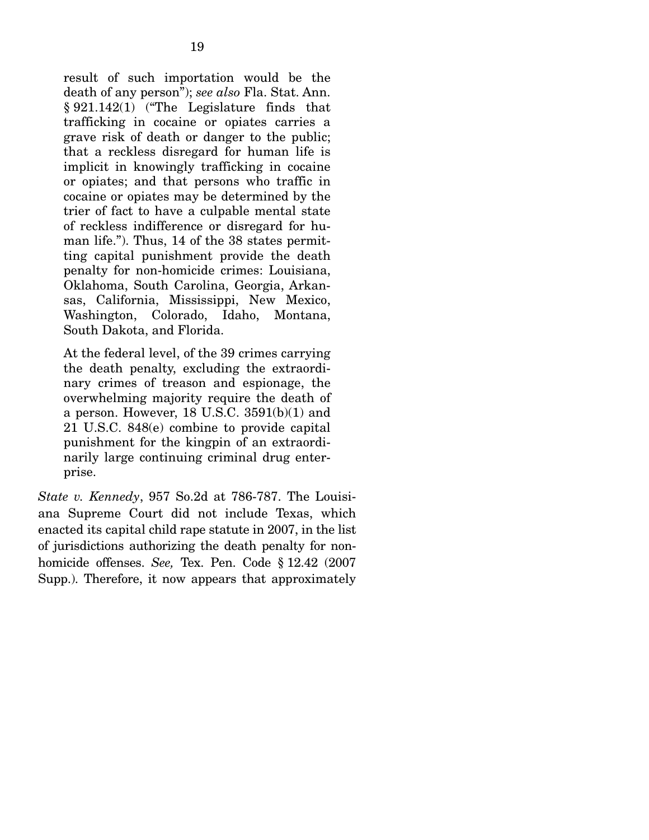result of such importation would be the death of any person"); *see also* Fla. Stat. Ann. § 921.142(1) ("The Legislature finds that trafficking in cocaine or opiates carries a grave risk of death or danger to the public; that a reckless disregard for human life is implicit in knowingly trafficking in cocaine or opiates; and that persons who traffic in cocaine or opiates may be determined by the trier of fact to have a culpable mental state of reckless indifference or disregard for human life."). Thus, 14 of the 38 states permitting capital punishment provide the death penalty for non-homicide crimes: Louisiana, Oklahoma, South Carolina, Georgia, Arkansas, California, Mississippi, New Mexico, Washington, Colorado, Idaho, Montana, South Dakota, and Florida.

At the federal level, of the 39 crimes carrying the death penalty, excluding the extraordinary crimes of treason and espionage, the overwhelming majority require the death of a person. However, 18 U.S.C.  $3591(b)(1)$  and 21 U.S.C. 848(e) combine to provide capital punishment for the kingpin of an extraordinarily large continuing criminal drug enterprise.

*State v. Kennedy*, 957 So.2d at 786-787. The Louisiana Supreme Court did not include Texas, which enacted its capital child rape statute in 2007, in the list of jurisdictions authorizing the death penalty for nonhomicide offenses. *See,* Tex. Pen. Code § 12.42 (2007 Supp.). Therefore, it now appears that approximately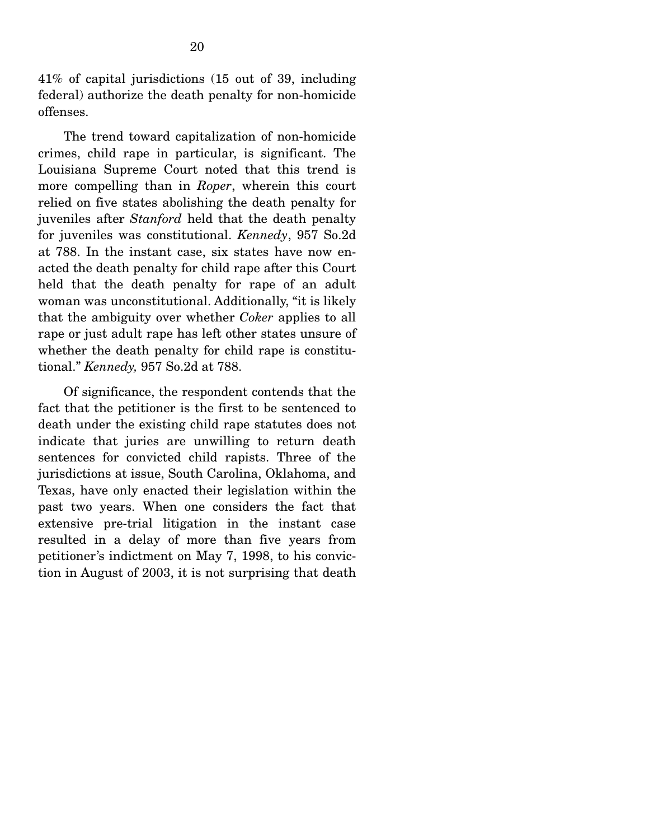41% of capital jurisdictions (15 out of 39, including federal) authorize the death penalty for non-homicide offenses.

 The trend toward capitalization of non-homicide crimes, child rape in particular, is significant. The Louisiana Supreme Court noted that this trend is more compelling than in *Roper*, wherein this court relied on five states abolishing the death penalty for juveniles after *Stanford* held that the death penalty for juveniles was constitutional. *Kennedy*, 957 So.2d at 788. In the instant case, six states have now enacted the death penalty for child rape after this Court held that the death penalty for rape of an adult woman was unconstitutional. Additionally, "it is likely that the ambiguity over whether *Coker* applies to all rape or just adult rape has left other states unsure of whether the death penalty for child rape is constitutional." *Kennedy,* 957 So.2d at 788.

 Of significance, the respondent contends that the fact that the petitioner is the first to be sentenced to death under the existing child rape statutes does not indicate that juries are unwilling to return death sentences for convicted child rapists. Three of the jurisdictions at issue, South Carolina, Oklahoma, and Texas, have only enacted their legislation within the past two years. When one considers the fact that extensive pre-trial litigation in the instant case resulted in a delay of more than five years from petitioner's indictment on May 7, 1998, to his conviction in August of 2003, it is not surprising that death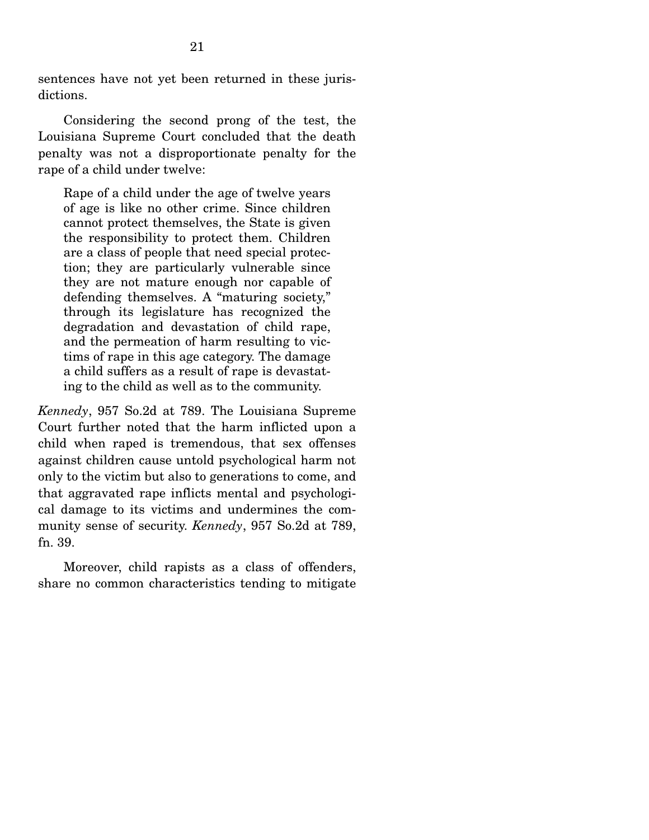sentences have not yet been returned in these jurisdictions.

 Considering the second prong of the test, the Louisiana Supreme Court concluded that the death penalty was not a disproportionate penalty for the rape of a child under twelve:

Rape of a child under the age of twelve years of age is like no other crime. Since children cannot protect themselves, the State is given the responsibility to protect them. Children are a class of people that need special protection; they are particularly vulnerable since they are not mature enough nor capable of defending themselves. A "maturing society," through its legislature has recognized the degradation and devastation of child rape, and the permeation of harm resulting to victims of rape in this age category. The damage a child suffers as a result of rape is devastating to the child as well as to the community.

*Kennedy*, 957 So.2d at 789. The Louisiana Supreme Court further noted that the harm inflicted upon a child when raped is tremendous, that sex offenses against children cause untold psychological harm not only to the victim but also to generations to come, and that aggravated rape inflicts mental and psychological damage to its victims and undermines the community sense of security. *Kennedy*, 957 So.2d at 789, fn. 39.

 Moreover, child rapists as a class of offenders, share no common characteristics tending to mitigate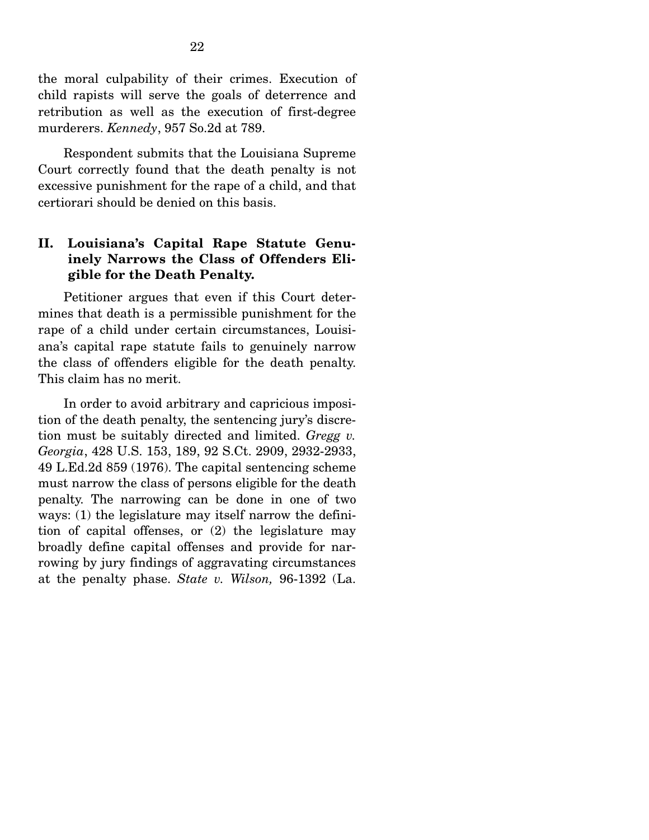the moral culpability of their crimes. Execution of child rapists will serve the goals of deterrence and retribution as well as the execution of first-degree murderers. *Kennedy*, 957 So.2d at 789.

 Respondent submits that the Louisiana Supreme Court correctly found that the death penalty is not excessive punishment for the rape of a child, and that certiorari should be denied on this basis.

### **II. Louisiana's Capital Rape Statute Genuinely Narrows the Class of Offenders Eligible for the Death Penalty.**

 Petitioner argues that even if this Court determines that death is a permissible punishment for the rape of a child under certain circumstances, Louisiana's capital rape statute fails to genuinely narrow the class of offenders eligible for the death penalty. This claim has no merit.

 In order to avoid arbitrary and capricious imposition of the death penalty, the sentencing jury's discretion must be suitably directed and limited. *Gregg v. Georgia*, 428 U.S. 153, 189, 92 S.Ct. 2909, 2932-2933, 49 L.Ed.2d 859 (1976). The capital sentencing scheme must narrow the class of persons eligible for the death penalty. The narrowing can be done in one of two ways: (1) the legislature may itself narrow the definition of capital offenses, or (2) the legislature may broadly define capital offenses and provide for narrowing by jury findings of aggravating circumstances at the penalty phase. *State v. Wilson,* 96-1392 (La.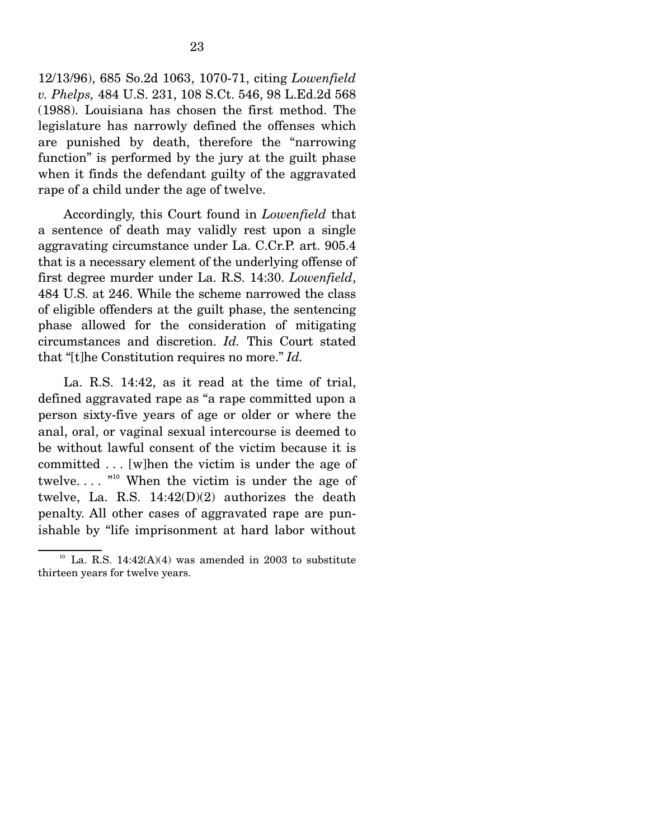12/13/96), 685 So.2d 1063, 1070-71, citing *Lowenfield v. Phelps,* 484 U.S. 231, 108 S.Ct. 546, 98 L.Ed.2d 568 (1988). Louisiana has chosen the first method. The legislature has narrowly defined the offenses which are punished by death, therefore the "narrowing function" is performed by the jury at the guilt phase when it finds the defendant guilty of the aggravated rape of a child under the age of twelve.

 Accordingly, this Court found in *Lowenfield* that a sentence of death may validly rest upon a single aggravating circumstance under La. C.Cr.P. art. 905.4 that is a necessary element of the underlying offense of first degree murder under La. R.S. 14:30. *Lowenfield*, 484 U.S. at 246. While the scheme narrowed the class of eligible offenders at the guilt phase, the sentencing phase allowed for the consideration of mitigating circumstances and discretion. *Id.* This Court stated that "[t]he Constitution requires no more." *Id.*

 La. R.S. 14:42, as it read at the time of trial, defined aggravated rape as "a rape committed upon a person sixty-five years of age or older or where the anal, oral, or vaginal sexual intercourse is deemed to be without lawful consent of the victim because it is committed . . . [w]hen the victim is under the age of twelve....  $\cdot$ <sup>10</sup> When the victim is under the age of twelve, La. R.S. 14:42(D)(2) authorizes the death penalty. All other cases of aggravated rape are punishable by "life imprisonment at hard labor without

 $10$  La. R.S. 14:42(A)(4) was amended in 2003 to substitute thirteen years for twelve years.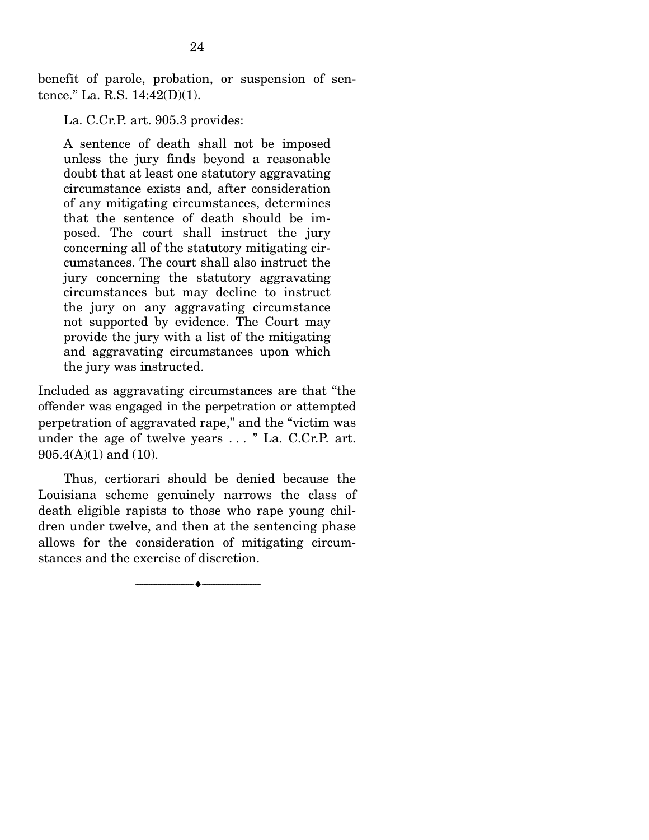benefit of parole, probation, or suspension of sentence." La. R.S. 14:42(D)(1).

La. C.Cr.P. art. 905.3 provides:

A sentence of death shall not be imposed unless the jury finds beyond a reasonable doubt that at least one statutory aggravating circumstance exists and, after consideration of any mitigating circumstances, determines that the sentence of death should be imposed. The court shall instruct the jury concerning all of the statutory mitigating circumstances. The court shall also instruct the jury concerning the statutory aggravating circumstances but may decline to instruct the jury on any aggravating circumstance not supported by evidence. The Court may provide the jury with a list of the mitigating and aggravating circumstances upon which the jury was instructed.

Included as aggravating circumstances are that "the offender was engaged in the perpetration or attempted perpetration of aggravated rape," and the "victim was under the age of twelve years . . . " La. C.Cr.P. art. 905.4(A)(1) and (10).

 Thus, certiorari should be denied because the Louisiana scheme genuinely narrows the class of death eligible rapists to those who rape young children under twelve, and then at the sentencing phase allows for the consideration of mitigating circumstances and the exercise of discretion.

 $\overbrace{\hspace{2.5cm}}$   $\overbrace{\hspace{2.5cm}}$